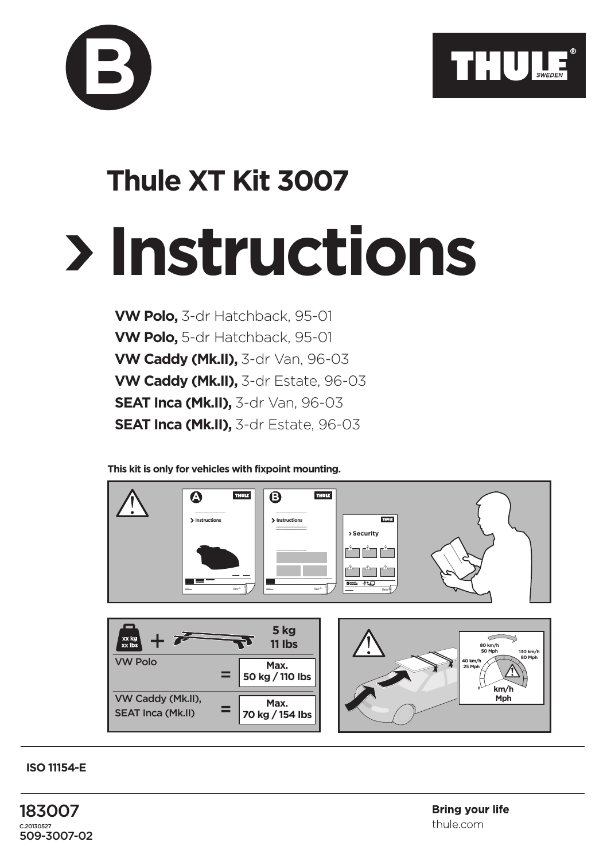



**VW Polo,** 3-dr Hatchback, 95-01 **VW Polo,** 5-dr Hatchback, 95-01 **VW Caddy (Mk.II),** 3-dr Van, 96-03 **VW Caddy (Mk.II),** 3-dr Estate, 96-03 **SEAT Inca (Mk.II), 3-dr Van, 96-03 SEAT Inca (Mk.II),** 3-dr Estate, 96-03

**This kit is only for vehicles with fixpoint mounting.**



**ISO 11154-E**

**B**

183007  $C.20170527$ 509-3007-02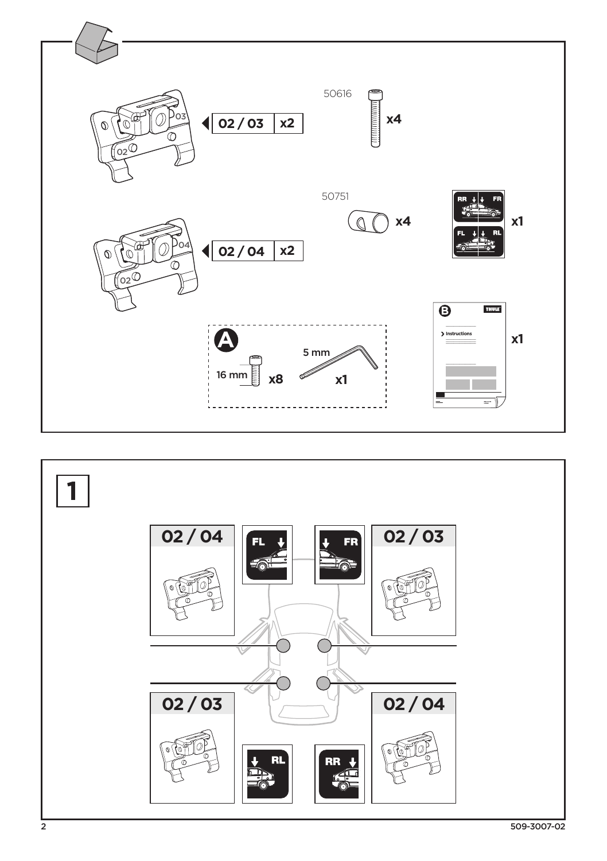

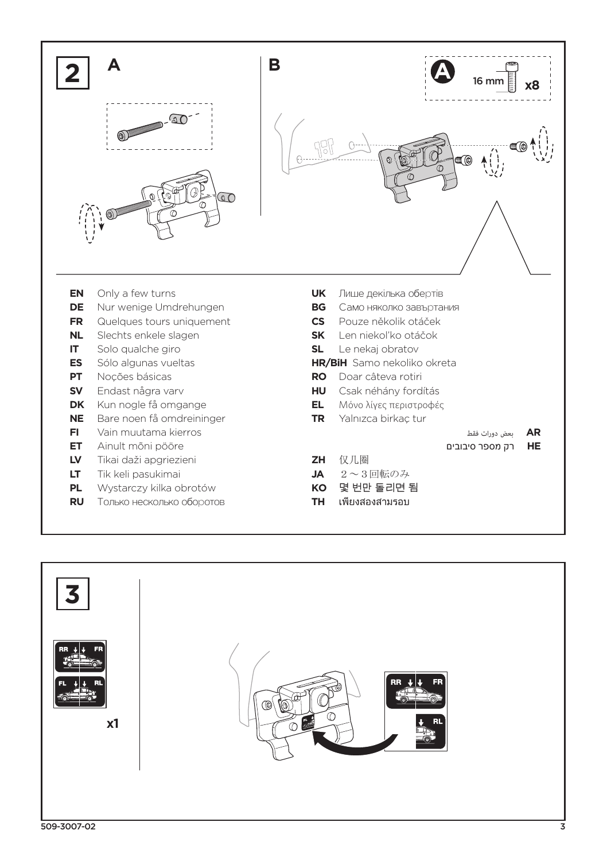